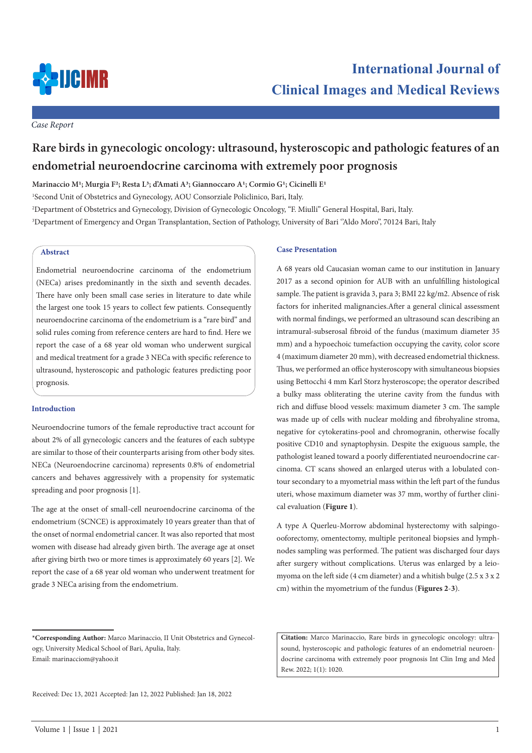

*Case Report*

# **Rare birds in gynecologic oncology: ultrasound, hysteroscopic and pathologic features of an endometrial neuroendocrine carcinoma with extremely poor prognosis**

**Marinaccio M1; Murgia F2; Resta L3; d'Amati A3; Giannoccaro A1; Cormio G1; Cicinelli E1**

1 Second Unit of Obstetrics and Gynecology, AOU Consorziale Policlinico, Bari, Italy.

2 Department of Obstetrics and Gynecology, Division of Gynecologic Oncology, "F. Miulli" General Hospital, Bari, Italy. 3 Department of Emergency and Organ Transplantation, Section of Pathology, University of Bari ''Aldo Moro'', 70124 Bari, Italy

## **Abstract**

Endometrial neuroendocrine carcinoma of the endometrium (NECa) arises predominantly in the sixth and seventh decades. There have only been small case series in literature to date while the largest one took 15 years to collect few patients. Consequently neuroendocrine carcinoma of the endometrium is a "rare bird" and solid rules coming from reference centers are hard to find. Here we report the case of a 68 year old woman who underwent surgical and medical treatment for a grade 3 NECa with specific reference to ultrasound, hysteroscopic and pathologic features predicting poor prognosis.

### **Introduction**

Neuroendocrine tumors of the female reproductive tract account for about 2% of all gynecologic cancers and the features of each subtype are similar to those of their counterparts arising from other body sites. NECa (Neuroendocrine carcinoma) represents 0.8% of endometrial cancers and behaves aggressively with a propensity for systematic spreading and poor prognosis [1].

The age at the onset of small-cell neuroendocrine carcinoma of the endometrium (SCNCE) is approximately 10 years greater than that of the onset of normal endometrial cancer. It was also reported that most women with disease had already given birth. The average age at onset after giving birth two or more times is approximately 60 years [2]. We report the case of a 68 year old woman who underwent treatment for grade 3 NECa arising from the endometrium.

## **\*Corresponding Author:** Marco Marinaccio, II Unit Obstetrics and Gynecology, University Medical School of Bari, Apulia, Italy. Email: marinacciom@yahoo.it

Received: Dec 13, 2021 Accepted: Jan 12, 2022 Published: Jan 18, 2022

#### **Case Presentation**

A 68 years old Caucasian woman came to our institution in January 2017 as a second opinion for AUB with an unfulfilling histological sample. The patient is gravida 3, para 3; BMI 22 kg/m2. Absence of risk factors for inherited malignancies.After a general clinical assessment with normal findings, we performed an ultrasound scan describing an intramural-subserosal fibroid of the fundus (maximum diameter 35 mm) and a hypoechoic tumefaction occupying the cavity, color score 4 (maximum diameter 20 mm), with decreased endometrial thickness. Thus, we performed an office hysteroscopy with simultaneous biopsies using Bettocchi 4 mm Karl Storz hysteroscope; the operator described a bulky mass obliterating the uterine cavity from the fundus with rich and diffuse blood vessels: maximum diameter 3 cm. The sample was made up of cells with nuclear molding and fibrohyaline stroma, negative for cytokeratins-pool and chromogranin, otherwise focally positive CD10 and synaptophysin. Despite the exiguous sample, the pathologist leaned toward a poorly differentiated neuroendocrine carcinoma. CT scans showed an enlarged uterus with a lobulated contour secondary to a myometrial mass within the left part of the fundus uteri, whose maximum diameter was 37 mm, worthy of further clinical evaluation (**Figure 1**).

A type A Querleu-Morrow abdominal hysterectomy with salpingoooforectomy, omentectomy, multiple peritoneal biopsies and lymphnodes sampling was performed. The patient was discharged four days after surgery without complications. Uterus was enlarged by a leiomyoma on the left side (4 cm diameter) and a whitish bulge (2.5 x 3 x 2 cm) within the myometrium of the fundus (**Figures 2**-**3**).

**Citation:** Marco Marinaccio, Rare birds in gynecologic oncology: ultrasound, hysteroscopic and pathologic features of an endometrial neuroendocrine carcinoma with extremely poor prognosis Int Clin Img and Med Rew. 2022; 1(1): 1020.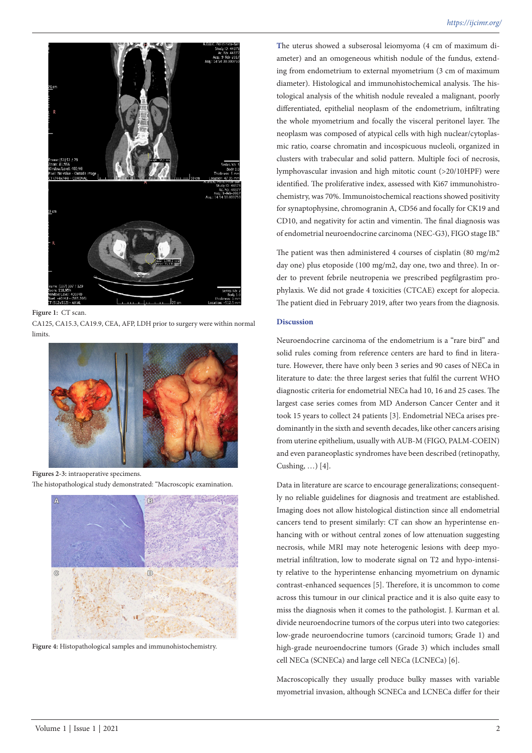

CA125, CA15.3, CA19.9, CEA, AFP, LDH prior to surgery were within normal limits.



**Figures 2-3:** intraoperative specimens. The histopathological study demonstrated: "Macroscopic examination.



**Figure 4:** Histopathological samples and immunohistochemistry.

**T**he uterus showed a subserosal leiomyoma (4 cm of maximum diameter) and an omogeneous whitish nodule of the fundus, extending from endometrium to external myometrium (3 cm of maximum diameter). Histological and immunohistochemical analysis. The histological analysis of the whitish nodule revealed a malignant, poorly differentiated, epithelial neoplasm of the endometrium, infiltrating the whole myometrium and focally the visceral peritonel layer. The neoplasm was composed of atypical cells with high nuclear/cytoplasmic ratio, coarse chromatin and incospicuous nucleoli, organized in clusters with trabecular and solid pattern. Multiple foci of necrosis, lymphovascular invasion and high mitotic count (>20/10HPF) were identified. The proliferative index, assessed with Ki67 immunohistrochemistry, was 70%. Immunoistochemical reactions showed positivity for synaptophysine, chromogranin A, CD56 and focally for CK19 and CD10, and negativity for actin and vimentin. The final diagnosis was of endometrial neuroendocrine carcinoma (NEC-G3), FIGO stage IB."

The patient was then administered 4 courses of cisplatin (80 mg/m2 day one) plus etoposide (100 mg/m2, day one, two and three). In order to prevent febrile neutropenia we prescribed pegfilgrastim prophylaxis. We did not grade 4 toxicities (CTCAE) except for alopecia. The patient died in February 2019, after two years from the diagnosis.

## **Discussion**

Neuroendocrine carcinoma of the endometrium is a "rare bird" and solid rules coming from reference centers are hard to find in literature. However, there have only been 3 series and 90 cases of NECa in literature to date: the three largest series that fulfil the current WHO diagnostic criteria for endometrial NECa had 10, 16 and 25 cases. The largest case series comes from MD Anderson Cancer Center and it took 15 years to collect 24 patients [3]. Endometrial NECa arises predominantly in the sixth and seventh decades, like other cancers arising from uterine epithelium, usually with AUB-M (FIGO, PALM-COEIN) and even paraneoplastic syndromes have been described (retinopathy, Cushing, …) [4].

Data in literature are scarce to encourage generalizations; consequently no reliable guidelines for diagnosis and treatment are established. Imaging does not allow histological distinction since all endometrial cancers tend to present similarly: CT can show an hyperintense enhancing with or without central zones of low attenuation suggesting necrosis, while MRI may note heterogenic lesions with deep myometrial infiltration, low to moderate signal on T2 and hypo-intensity relative to the hyperintense enhancing myometrium on dynamic contrast-enhanced sequences [5]. Therefore, it is uncommon to come across this tumour in our clinical practice and it is also quite easy to miss the diagnosis when it comes to the pathologist. J. Kurman et al. divide neuroendocrine tumors of the corpus uteri into two categories: low-grade neuroendocrine tumors (carcinoid tumors; Grade 1) and high-grade neuroendocrine tumors (Grade 3) which includes small cell NECa (SCNECa) and large cell NECa (LCNECa) [6].

Macroscopically they usually produce bulky masses with variable myometrial invasion, although SCNECa and LCNECa differ for their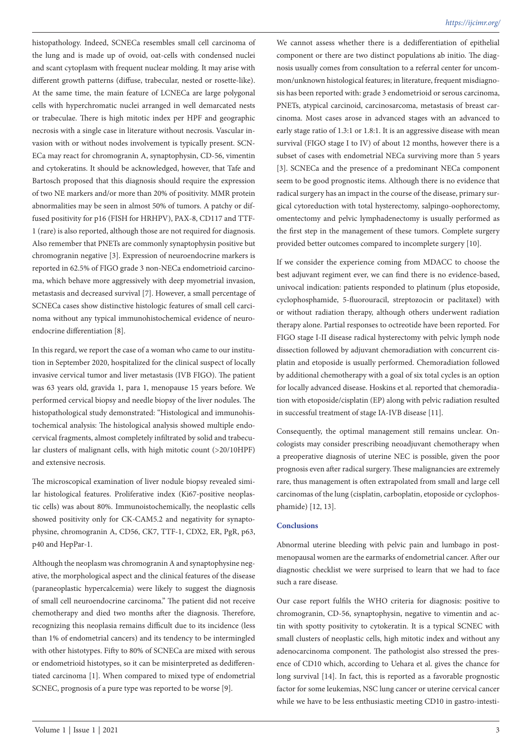histopathology. Indeed, SCNECa resembles small cell carcinoma of the lung and is made up of ovoid, oat-cells with condensed nuclei and scant cytoplasm with frequent nuclear molding. It may arise with different growth patterns (diffuse, trabecular, nested or rosette-like). At the same time, the main feature of LCNECa are large polygonal cells with hyperchromatic nuclei arranged in well demarcated nests or trabeculae. There is high mitotic index per HPF and geographic necrosis with a single case in literature without necrosis. Vascular invasion with or without nodes involvement is typically present. SCN-ECa may react for chromogranin A, synaptophysin, CD-56, vimentin and cytokeratins. It should be acknowledged, however, that Tafe and Bartosch proposed that this diagnosis should require the expression of two NE markers and/or more than 20% of positivity. MMR protein abnormalities may be seen in almost 50% of tumors. A patchy or diffused positivity for p16 (FISH for HRHPV), PAX-8, CD117 and TTF-1 (rare) is also reported, although those are not required for diagnosis. Also remember that PNETs are commonly synaptophysin positive but chromogranin negative [3]. Expression of neuroendocrine markers is reported in 62.5% of FIGO grade 3 non-NECa endometrioid carcinoma, which behave more aggressively with deep myometrial invasion, metastasis and decreased survival [7]. However, a small percentage of SCNECa cases show distinctive histologic features of small cell carcinoma without any typical immunohistochemical evidence of neuroendocrine differentiation [8].

In this regard, we report the case of a woman who came to our institution in September 2020, hospitalized for the clinical suspect of locally invasive cervical tumor and liver metastasis (IVB FIGO). The patient was 63 years old, gravida 1, para 1, menopause 15 years before. We performed cervical biopsy and needle biopsy of the liver nodules. The histopathological study demonstrated: "Histological and immunohistochemical analysis: The histological analysis showed multiple endocervical fragments, almost completely infiltrated by solid and trabecular clusters of malignant cells, with high mitotic count (>20/10HPF) and extensive necrosis.

The microscopical examination of liver nodule biopsy revealed similar histological features. Proliferative index (Ki67-positive neoplastic cells) was about 80%. Immunoistochemically, the neoplastic cells showed positivity only for CK-CAM5.2 and negativity for synaptophysine, chromogranin A, CD56, CK7, TTF-1, CDX2, ER, PgR, p63, p40 and HepPar-1.

Although the neoplasm was chromogranin A and synaptophysine negative, the morphological aspect and the clinical features of the disease (paraneoplastic hypercalcemia) were likely to suggest the diagnosis of small cell neuroendocrine carcinoma." The patient did not receive chemotherapy and died two months after the diagnosis. Therefore, recognizing this neoplasia remains difficult due to its incidence (less than 1% of endometrial cancers) and its tendency to be intermingled with other histotypes. Fifty to 80% of SCNECa are mixed with serous or endometrioid histotypes, so it can be misinterpreted as dedifferentiated carcinoma [1]. When compared to mixed type of endometrial SCNEC, prognosis of a pure type was reported to be worse [9].

We cannot assess whether there is a dedifferentiation of epithelial component or there are two distinct populations ab initio. The diagnosis usually comes from consultation to a referral center for uncommon/unknown histological features; in literature, frequent misdiagnosis has been reported with: grade 3 endometrioid or serous carcinoma, PNETs, atypical carcinoid, carcinosarcoma, metastasis of breast carcinoma. Most cases arose in advanced stages with an advanced to early stage ratio of 1.3:1 or 1.8:1. It is an aggressive disease with mean survival (FIGO stage I to IV) of about 12 months, however there is a subset of cases with endometrial NECa surviving more than 5 years [3]. SCNECa and the presence of a predominant NECa component seem to be good prognostic items. Although there is no evidence that radical surgery has an impact in the course of the disease, primary surgical cytoreduction with total hysterectomy, salpingo-oophorectomy, omentectomy and pelvic lymphadenectomy is usually performed as the first step in the management of these tumors. Complete surgery provided better outcomes compared to incomplete surgery [10].

If we consider the experience coming from MDACC to choose the best adjuvant regiment ever, we can find there is no evidence-based, univocal indication: patients responded to platinum (plus etoposide, cyclophosphamide, 5-fluorouracil, streptozocin or paclitaxel) with or without radiation therapy, although others underwent radiation therapy alone. Partial responses to octreotide have been reported. For FIGO stage I-II disease radical hysterectomy with pelvic lymph node dissection followed by adjuvant chemoradiation with concurrent cisplatin and etoposide is usually performed. Chemoradiation followed by additional chemotherapy with a goal of six total cycles is an option for locally advanced disease. Hoskins et al. reported that chemoradiation with etoposide/cisplatin (EP) along with pelvic radiation resulted in successful treatment of stage IA-IVB disease [11].

Consequently, the optimal management still remains unclear. Oncologists may consider prescribing neoadjuvant chemotherapy when a preoperative diagnosis of uterine NEC is possible, given the poor prognosis even after radical surgery. These malignancies are extremely rare, thus management is often extrapolated from small and large cell carcinomas of the lung (cisplatin, carboplatin, etoposide or cyclophosphamide) [12, 13].

## **Conclusions**

Abnormal uterine bleeding with pelvic pain and lumbago in postmenopausal women are the earmarks of endometrial cancer. After our diagnostic checklist we were surprised to learn that we had to face such a rare disease.

Our case report fulfils the WHO criteria for diagnosis: positive to chromogranin, CD-56, synaptophysin, negative to vimentin and actin with spotty positivity to cytokeratin. It is a typical SCNEC with small clusters of neoplastic cells, high mitotic index and without any adenocarcinoma component. The pathologist also stressed the presence of CD10 which, according to Uehara et al. gives the chance for long survival [14]. In fact, this is reported as a favorable prognostic factor for some leukemias, NSC lung cancer or uterine cervical cancer while we have to be less enthusiastic meeting CD10 in gastro-intesti